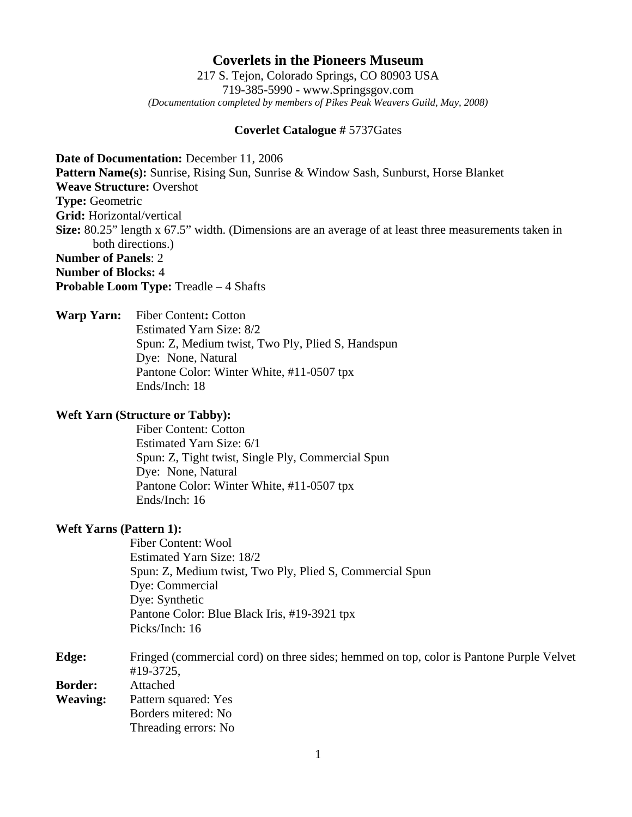# **Coverlets in the Pioneers Museum**

217 S. Tejon, Colorado Springs, CO 80903 USA 719-385-5990 - www.Springsgov.com *(Documentation completed by members of Pikes Peak Weavers Guild, May, 2008)* 

# **Coverlet Catalogue #** 5737Gates

**Date of Documentation:** December 11, 2006 **Pattern Name(s):** Sunrise, Rising Sun, Sunrise & Window Sash, Sunburst, Horse Blanket **Weave Structure:** Overshot **Type:** Geometric **Grid:** Horizontal/vertical **Size:** 80.25" length x 67.5" width. (Dimensions are an average of at least three measurements taken in both directions.) **Number of Panels**: 2 **Number of Blocks:** 4 **Probable Loom Type:** Treadle – 4 Shafts

**Warp Yarn:** Fiber Content**:** Cotton Estimated Yarn Size: 8/2 Spun: Z, Medium twist, Two Ply, Plied S, Handspun Dye: None, Natural Pantone Color: Winter White, #11-0507 tpx Ends/Inch: 18

## **Weft Yarn (Structure or Tabby):**

 Fiber Content: Cotton Estimated Yarn Size: 6/1 Spun: Z, Tight twist, Single Ply, Commercial Spun Dye: None, Natural Pantone Color: Winter White, #11-0507 tpx Ends/Inch: 16

#### **Weft Yarns (Pattern 1):**

 Fiber Content: Wool Estimated Yarn Size: 18/2 Spun: Z, Medium twist, Two Ply, Plied S, Commercial Spun Dye: Commercial Dye: Synthetic Pantone Color: Blue Black Iris, #19-3921 tpx Picks/Inch: 16

**Edge:** Fringed (commercial cord) on three sides; hemmed on top, color is Pantone Purple Velvet #19-3725, **Border:** Attached **Weaving:** Pattern squared: Yes Borders mitered: No Threading errors: No